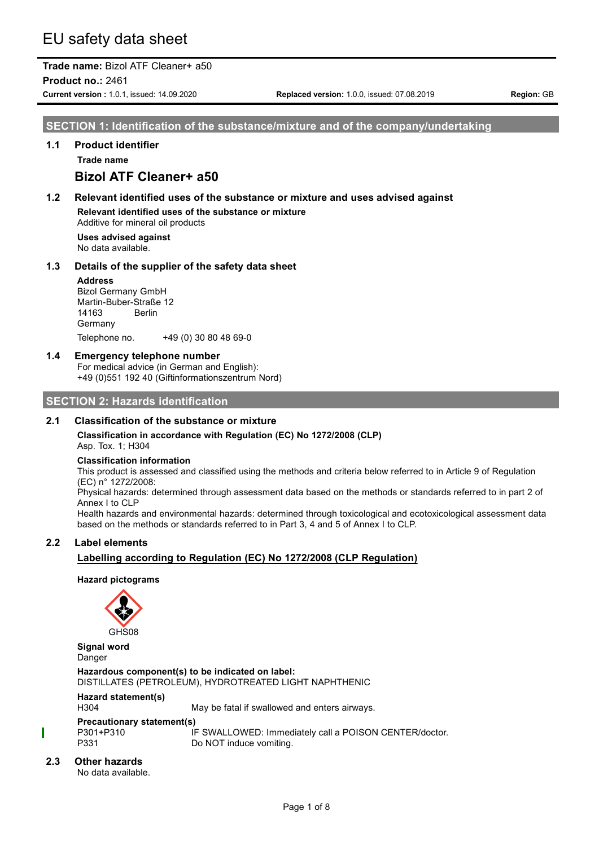# EU safety data sheet

## **Trade name:** Bizol ATF Cleaner+ a50

**Product no.:** 2461

**Current version :** 1.0.1, issued: 14.09.2020 **Replaced version:** 1.0.0, issued: 07.08.2019 **Region:** GB

**SECTION 1: Identification of the substance/mixture and of the company/undertaking**

#### **1.1 Product identifier**

**Trade name**

## **Bizol ATF Cleaner+ a50**

### **1.2 Relevant identified uses of the substance or mixture and uses advised against Relevant identified uses of the substance or mixture**

Additive for mineral oil products

**Uses advised against** No data available.

#### **1.3 Details of the supplier of the safety data sheet**

#### **Address**

Bizol Germany GmbH Martin-Buber-Straße 12 14163 Berlin Germany Telephone no. +49 (0) 30 80 48 69-0

## **1.4 Emergency telephone number**

For medical advice (in German and English): +49 (0)551 192 40 (Giftinformationszentrum Nord)

## **SECTION 2: Hazards identification**

#### **2.1 Classification of the substance or mixture**

**Classification in accordance with Regulation (EC) No 1272/2008 (CLP)**

Asp. Tox. 1; H304

#### **Classification information**

This product is assessed and classified using the methods and criteria below referred to in Article 9 of Regulation (EC) n° 1272/2008:

Physical hazards: determined through assessment data based on the methods or standards referred to in part 2 of Annex I to CLP

Health hazards and environmental hazards: determined through toxicological and ecotoxicological assessment data based on the methods or standards referred to in Part 3, 4 and 5 of Annex I to CLP.

## **2.2 Label elements**

## **Labelling according to Regulation (EC) No 1272/2008 (CLP Regulation)**

**Hazard pictograms**



**Signal word** Danger

**Hazardous component(s) to be indicated on label:** DISTILLATES (PETROLEUM), HYDROTREATED LIGHT NAPHTHENIC

### **Hazard statement(s)**

H304 May be fatal if swallowed and enters airways.

#### **Precautionary statement(s)**

P301+P310 IF SWALLOWED: Immediately call a POISON CENTER/doctor. P331 Do NOT induce vomiting.

#### **2.3 Other hazards**

No data available.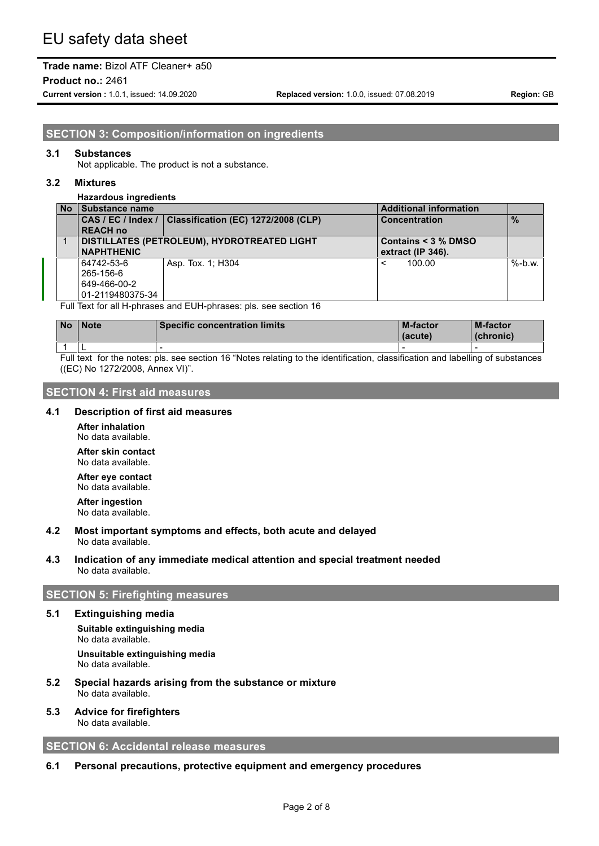**Product no.:** 2461

**Current version :** 1.0.1, issued: 14.09.2020 **Replaced version:** 1.0.0, issued: 07.08.2019 **Region:** GB

**SECTION 3: Composition/information on ingredients**

#### **3.1 Substances**

Not applicable. The product is not a substance.

#### **3.2 Mixtures**

#### **Hazardous ingredients**

| <b>No</b> | Substance name    |                                                          | <b>Additional information</b> |               |
|-----------|-------------------|----------------------------------------------------------|-------------------------------|---------------|
|           |                   | CAS / EC / Index /   Classification (EC) 1272/2008 (CLP) | <b>Concentration</b>          | $\frac{9}{6}$ |
|           | <b>REACH no</b>   |                                                          |                               |               |
| 1         |                   | DISTILLATES (PETROLEUM), HYDROTREATED LIGHT              | Contains $<$ 3 $\%$ DMSO      |               |
|           | <b>NAPHTHENIC</b> |                                                          | extract (IP 346).             |               |
|           | 64742-53-6        | Asp. Tox. 1; H304                                        | 100.00<br>$\,<\,$             | $% -b.w.$     |
|           | 265-156-6         |                                                          |                               |               |
|           | 649-466-00-2      |                                                          |                               |               |
|           | 01-2119480375-34  |                                                          |                               |               |
|           | _ . _             | .<br>$\cdots$ $\cdots$                                   |                               |               |

Full Text for all H-phrases and EUH-phrases: pls. see section 16

| <b>No</b> | <b>Note</b> | <b>Specific concentration limits</b> | <b>M-factor</b><br>(acute) | <b>M-factor</b><br>(chronic) |
|-----------|-------------|--------------------------------------|----------------------------|------------------------------|
|           | -           |                                      |                            |                              |

Full text for the notes: pls. see section 16 "Notes relating to the identification, classification and labelling of substances ((EC) No 1272/2008, Annex VI)".

### **SECTION 4: First aid measures**

#### **4.1 Description of first aid measures**

**After inhalation** No data available.

**After skin contact** No data available.

**After eye contact** No data available.

**After ingestion** No data available.

#### **4.2 Most important symptoms and effects, both acute and delayed** No data available.

### **4.3 Indication of any immediate medical attention and special treatment needed** No data available.

## **SECTION 5: Firefighting measures**

#### **5.1 Extinguishing media**

**Suitable extinguishing media** No data available. **Unsuitable extinguishing media** No data available.

- **5.2 Special hazards arising from the substance or mixture** No data available.
- **5.3 Advice for firefighters** No data available.

**SECTION 6: Accidental release measures**

#### **6.1 Personal precautions, protective equipment and emergency procedures**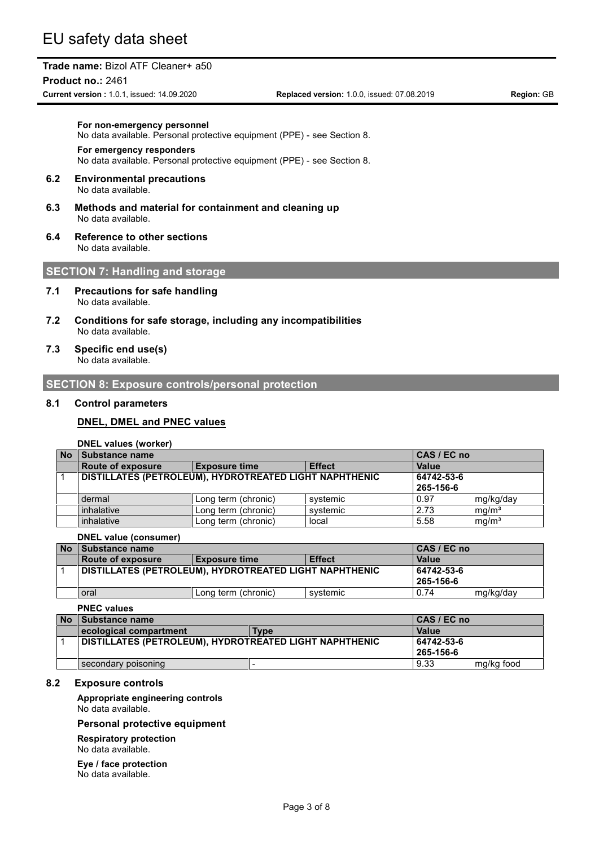#### **Product no.:** 2461

**Current version :** 1.0.1, issued: 14.09.2020 **Replaced version:** 1.0.0, issued: 07.08.2019 **Region:** GB

#### **For non-emergency personnel**

No data available. Personal protective equipment (PPE) - see Section 8.

#### **For emergency responders**

No data available. Personal protective equipment (PPE) - see Section 8.

#### **6.2 Environmental precautions** No data available.

- **6.3 Methods and material for containment and cleaning up** No data available.
- **6.4 Reference to other sections** No data available.

## **SECTION 7: Handling and storage**

- **7.1 Precautions for safe handling** No data available.
- **7.2 Conditions for safe storage, including any incompatibilities** No data available.
- **7.3 Specific end use(s)** No data available.

#### **SECTION 8: Exposure controls/personal protection**

#### **8.1 Control parameters**

#### **DNEL, DMEL and PNEC values**

#### **DNEL values (worker)**

| <b>No</b> | Substance name                                                    |                     |          | CAS / EC no |                   |
|-----------|-------------------------------------------------------------------|---------------------|----------|-------------|-------------------|
|           | <b>Effect</b><br><b>Route of exposure</b><br><b>Exposure time</b> |                     |          | Value       |                   |
|           | DISTILLATES (PETROLEUM), HYDROTREATED LIGHT NAPHTHENIC            |                     |          | 64742-53-6  |                   |
|           |                                                                   |                     |          | 265-156-6   |                   |
|           | dermal                                                            | Long term (chronic) | systemic | 0.97        | mg/kg/day         |
|           | inhalative                                                        | Long term (chronic) | systemic | 2.73        | mg/m <sup>3</sup> |
|           | inhalative                                                        | Long term (chronic) | local    | 5.58        | mg/m <sup>3</sup> |

#### **DNEL value (consumer)**

| <b>No</b> | <b>Substance name</b>                                  |                      |               | CAS / EC no |           |
|-----------|--------------------------------------------------------|----------------------|---------------|-------------|-----------|
|           | Route of exposure                                      | <b>Exposure time</b> | <b>Effect</b> | Value       |           |
|           | DISTILLATES (PETROLEUM), HYDROTREATED LIGHT NAPHTHENIC |                      |               | 64742-53-6  |           |
|           |                                                        |                      |               | 265-156-6   |           |
|           | oral                                                   | Long term (chronic)  | systemic      | 0.74        | mg/kg/day |

#### **PNEC values**

| No | Substance name                                                |             | CAS / EC no  |            |
|----|---------------------------------------------------------------|-------------|--------------|------------|
|    | ecological compartment                                        | <b>Type</b> | <b>Value</b> |            |
|    | <b>DISTILLATES (PETROLEUM), HYDROTREATED LIGHT NAPHTHENIC</b> |             | 64742-53-6   |            |
|    |                                                               |             | 265-156-6    |            |
|    | secondary poisoning                                           |             | 9.33         | mg/kg food |

#### **8.2 Exposure controls**

**Appropriate engineering controls** No data available.

#### **Personal protective equipment**

**Respiratory protection** No data available.

**Eye / face protection** No data available.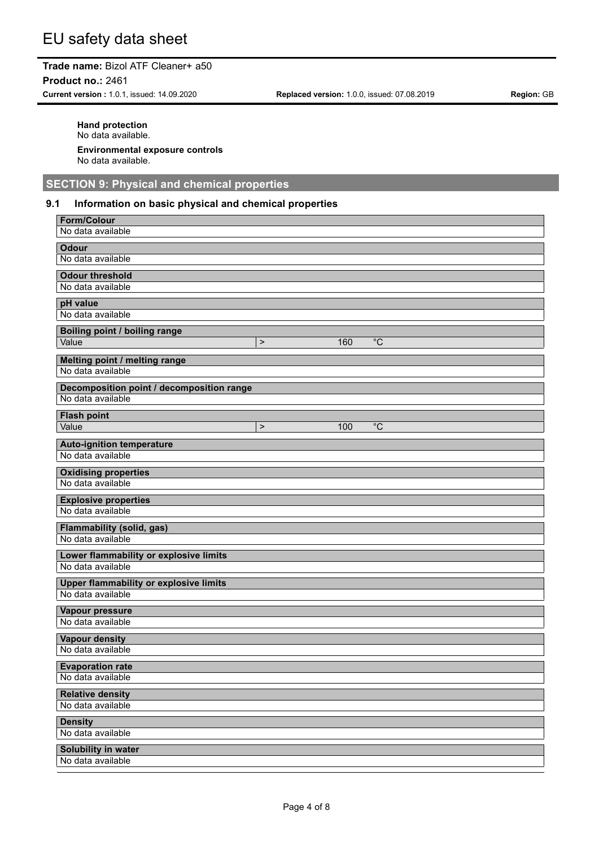#### **Product no.:** 2461

**Current version :** 1.0.1, issued: 14.09.2020 **Replaced version:** 1.0.0, issued: 07.08.2019 **Region:** GB

**Hand protection** No data available. **Environmental exposure controls** No data available.

## **SECTION 9: Physical and chemical properties**

### **9.1 Information on basic physical and chemical properties**

| <b>Form/Colour</b>                                    |
|-------------------------------------------------------|
| No data available                                     |
| <b>Odour</b>                                          |
| No data available                                     |
| <b>Odour threshold</b>                                |
| No data available                                     |
| pH value                                              |
| No data available                                     |
| <b>Boiling point / boiling range</b>                  |
| Value<br>$\overline{C}$<br>160<br>$\mathbf{I}$        |
|                                                       |
| Melting point / melting range<br>No data available    |
|                                                       |
| Decomposition point / decomposition range             |
| No data available                                     |
| <b>Flash point</b>                                    |
| $^{\circ}$ C<br>Value<br>100<br>$\mathbf{I}$          |
| <b>Auto-ignition temperature</b>                      |
| No data available                                     |
| <b>Oxidising properties</b>                           |
| No data available                                     |
|                                                       |
| <b>Explosive properties</b><br>No data available      |
|                                                       |
| <b>Flammability (solid, gas)</b><br>No data available |
|                                                       |
| Lower flammability or explosive limits                |
| No data available                                     |
| <b>Upper flammability or explosive limits</b>         |
| No data available                                     |
| Vapour pressure                                       |
| No data available                                     |
| Vapour density                                        |
| No data available                                     |
| <b>Evaporation rate</b>                               |
| No data available                                     |
|                                                       |
| <b>Relative density</b><br>No data available          |
|                                                       |
| <b>Density</b>                                        |
| No data available                                     |
| Solubility in water                                   |
| No data available                                     |
|                                                       |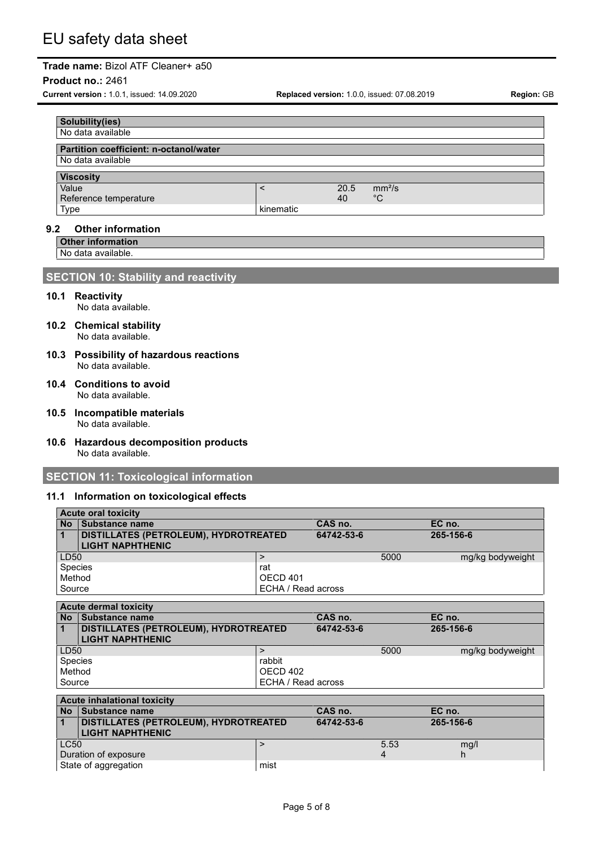#### **Product no.:** 2461

**Current version :** 1.0.1, issued: 14.09.2020 **Replaced version:** 1.0.0, issued: 07.08.2019 **Region:** GB

| Solubility(ies)                                             |           |            |                          |
|-------------------------------------------------------------|-----------|------------|--------------------------|
| No data available                                           |           |            |                          |
| Partition coefficient: n-octanol/water<br>No data available |           |            |                          |
| <b>Viscosity</b>                                            |           |            |                          |
| Value<br>Reference temperature                              |           | 20.5<br>40 | mm <sup>2</sup> /s<br>°C |
| Type                                                        | kinematic |            |                          |

### **9.2 Other information**

**Other information**

No data available.

### **SECTION 10: Stability and reactivity**

- **10.1 Reactivity** No data available.
- **10.2 Chemical stability** No data available.
- **10.3 Possibility of hazardous reactions** No data available.
- **10.4 Conditions to avoid** No data available.
- **10.5 Incompatible materials** No data available.
- **10.6 Hazardous decomposition products** No data available.

### **SECTION 11: Toxicological information**

#### **11.1 Information on toxicological effects**

|         | <b>Acute oral toxicity</b>            |                    |            |      |                  |  |
|---------|---------------------------------------|--------------------|------------|------|------------------|--|
|         | No Substance name                     |                    | CAS no.    |      | EC no.           |  |
|         | DISTILLATES (PETROLEUM), HYDROTREATED |                    | 64742-53-6 |      | 265-156-6        |  |
|         | <b>LIGHT NAPHTHENIC</b>               |                    |            |      |                  |  |
| LD50    |                                       | $\geq$             |            | 5000 | mg/kg bodyweight |  |
| Species |                                       | rat                |            |      |                  |  |
| Method  |                                       | <b>OECD 401</b>    |            |      |                  |  |
| Source  |                                       | ECHA / Read across |            |      |                  |  |
|         |                                       |                    |            |      |                  |  |
|         |                                       |                    |            |      |                  |  |
|         | <b>Acute dermal toxicity</b>          |                    |            |      |                  |  |
|         | No Substance name                     |                    | CAS no.    |      | EC no.           |  |
|         | DISTILLATES (PETROLEUM), HYDROTREATED |                    | 64742-53-6 |      | 265-156-6        |  |
|         | <b>LIGHT NAPHTHENIC</b>               |                    |            |      |                  |  |
| LD50    |                                       | $\geq$             |            | 5000 | mg/kg bodyweight |  |
| Species |                                       | rabbit             |            |      |                  |  |
| Method  |                                       | OECD 402           |            |      |                  |  |
| Source  |                                       | ECHA / Read across |            |      |                  |  |

## **Acute inhalational toxicity**

| <b>No</b> | Substance name                        |      | CAS no.    |      | EC no.    |
|-----------|---------------------------------------|------|------------|------|-----------|
| $\vert$ 1 | DISTILLATES (PETROLEUM), HYDROTREATED |      | 64742-53-6 |      | 265-156-6 |
|           | <b>LIGHT NAPHTHENIC</b>               |      |            |      |           |
| LC50      |                                       |      |            | 5.53 | mg/l      |
|           | Duration of exposure                  |      |            |      |           |
|           | State of aggregation                  | mist |            |      |           |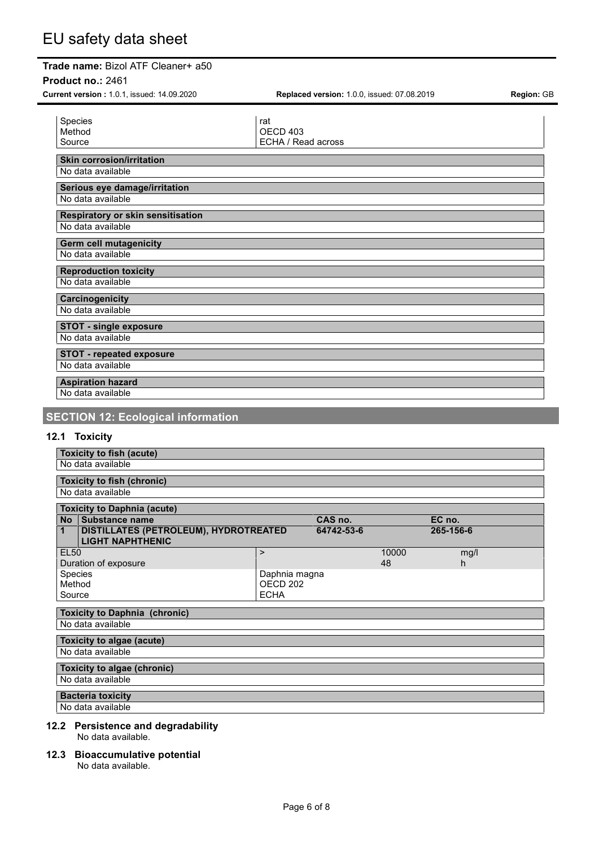#### **Product no.:** 2461

| Current version: 1.0.1, issued: 14.09.2020             | Replaced version: 1.0.0, issued: 07.08.2019      | Region: GB |
|--------------------------------------------------------|--------------------------------------------------|------------|
| Species<br>Method<br>Source                            | rat<br>OECD <sub>403</sub><br>ECHA / Read across |            |
| <b>Skin corrosion/irritation</b><br>No data available  |                                                  |            |
| Serious eye damage/irritation<br>No data available     |                                                  |            |
| Respiratory or skin sensitisation<br>No data available |                                                  |            |
| <b>Germ cell mutagenicity</b><br>No data available     |                                                  |            |
| <b>Reproduction toxicity</b><br>No data available      |                                                  |            |
| Carcinogenicity<br>No data available                   |                                                  |            |
| <b>STOT - single exposure</b><br>No data available     |                                                  |            |
| <b>STOT - repeated exposure</b><br>No data available   |                                                  |            |
| <b>Aspiration hazard</b><br>No data available          |                                                  |            |

# **SECTION 12: Ecological information**

## **12.1 Toxicity**

|              | <b>Toxicity to fish (acute)</b>                                         |                     |            |       |           |  |
|--------------|-------------------------------------------------------------------------|---------------------|------------|-------|-----------|--|
|              | No data available                                                       |                     |            |       |           |  |
|              | <b>Toxicity to fish (chronic)</b>                                       |                     |            |       |           |  |
|              | No data available                                                       |                     |            |       |           |  |
|              |                                                                         |                     |            |       |           |  |
| <b>No</b>    | <b>Toxicity to Daphnia (acute)</b><br>Substance name                    |                     | CAS no.    |       | EC no.    |  |
| $\mathbf{1}$ | <b>DISTILLATES (PETROLEUM), HYDROTREATED</b><br><b>LIGHT NAPHTHENIC</b> |                     | 64742-53-6 |       | 265-156-6 |  |
| <b>EL50</b>  |                                                                         | $\geq$              |            | 10000 | mg/l      |  |
|              | Duration of exposure                                                    |                     |            | 48    | h         |  |
| Species      |                                                                         | Daphnia magna       |            |       |           |  |
| Method       |                                                                         | OECD <sub>202</sub> |            |       |           |  |
| Source       |                                                                         | <b>ECHA</b>         |            |       |           |  |
|              | <b>Toxicity to Daphnia (chronic)</b>                                    |                     |            |       |           |  |
|              | No data available                                                       |                     |            |       |           |  |
|              |                                                                         |                     |            |       |           |  |
|              | Toxicity to algae (acute)                                               |                     |            |       |           |  |
|              | No data available                                                       |                     |            |       |           |  |
|              | Toxicity to algae (chronic)                                             |                     |            |       |           |  |
|              | No data available                                                       |                     |            |       |           |  |
|              | <b>Bacteria toxicity</b>                                                |                     |            |       |           |  |
|              | No data available                                                       |                     |            |       |           |  |
|              | 12.2 Persistence and degradability                                      |                     |            |       |           |  |

- No data available.
- **12.3 Bioaccumulative potential**

No data available.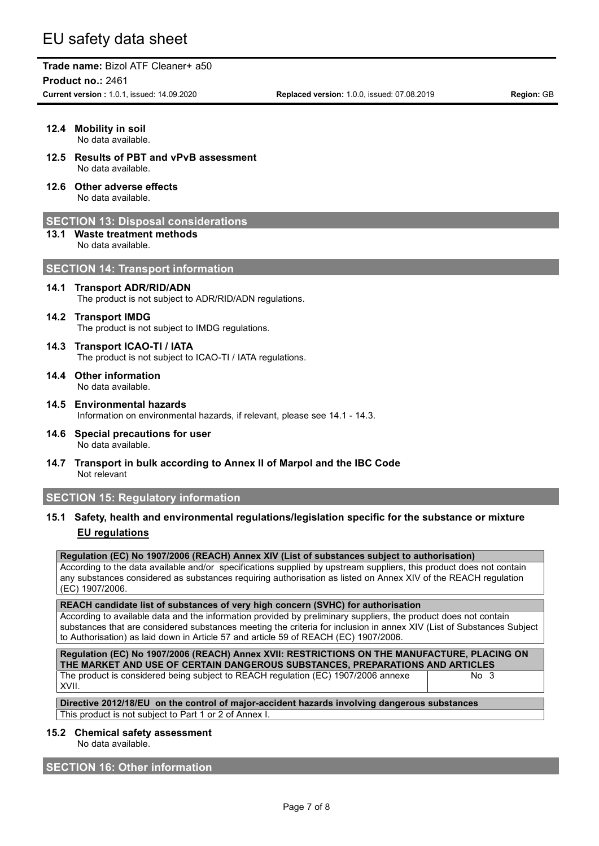**Product no.:** 2461

**Current version :** 1.0.1, issued: 14.09.2020 **Replaced version:** 1.0.0, issued: 07.08.2019 **Region:** GB

|      | 12.4 Mobility in soil<br>No data available.                                                              |
|------|----------------------------------------------------------------------------------------------------------|
|      | 12.5 Results of PBT and vPvB assessment<br>No data available.                                            |
|      | 12.6 Other adverse effects<br>No data available.                                                         |
|      | <b>SECTION 13: Disposal considerations</b>                                                               |
| 13.1 | <b>Waste treatment methods</b><br>No data available.                                                     |
|      | <b>SECTION 14: Transport information</b>                                                                 |
| 14.1 | <b>Transport ADR/RID/ADN</b><br>The product is not subject to ADR/RID/ADN regulations.                   |
|      | 14.2 Transport IMDG<br>The product is not subject to IMDG regulations.                                   |
| 14.3 | <b>Transport ICAO-TI / IATA</b><br>The product is not subject to ICAO-TI / IATA regulations.             |
|      | 14.4 Other information<br>No data available.                                                             |
|      | 14.5 Environmental hazards<br>Information on environmental hazards, if relevant, please see 14.1 - 14.3. |
| 14.6 | Special precautions for user<br>No data available.                                                       |
| 14.7 | Transport in bulk according to Annex II of Marpol and the IBC Code<br>Not relevant                       |
|      | <b>SECTION 15: Regulatory information</b>                                                                |
| 15.1 | Safety, health and environmental regulations/legislation specific for the substance or mixture           |
|      | <b>EU</b> regulations                                                                                    |

## **Regulation (EC) No 1907/2006 (REACH) Annex XIV (List of substances subject to authorisation)**

According to the data available and/or specifications supplied by upstream suppliers, this product does not contain any substances considered as substances requiring authorisation as listed on Annex XIV of the REACH regulation (EC) 1907/2006.

### **REACH candidate list of substances of very high concern (SVHC) for authorisation**

According to available data and the information provided by preliminary suppliers, the product does not contain substances that are considered substances meeting the criteria for inclusion in annex XIV (List of Substances Subject to Authorisation) as laid down in Article 57 and article 59 of REACH (EC) 1907/2006.

| Regulation (EC) No 1907/2006 (REACH) Annex XVII: RESTRICTIONS ON THE MANUFACTURE, PLACING ON |                   |
|----------------------------------------------------------------------------------------------|-------------------|
| THE MARKET AND USE OF CERTAIN DANGEROUS SUBSTANCES. PREPARATIONS AND ARTICLES                |                   |
| The product is considered being subject to REACH regulation (EC) 1907/2006 annexe            | No $\overline{3}$ |
| XVII.                                                                                        |                   |

**Directive 2012/18/EU on the control of major-accident hazards involving dangerous substances** This product is not subject to Part 1 or 2 of Annex I.

#### **15.2 Chemical safety assessment**

No data available.

## **SECTION 16: Other information**